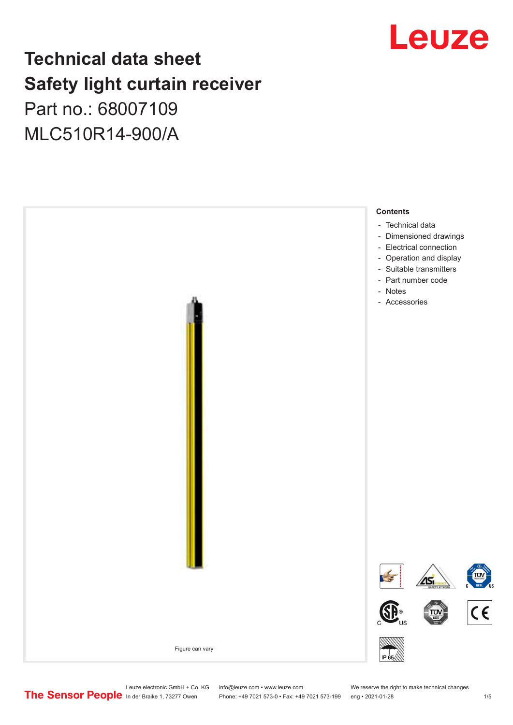## Leuze

## **Technical data sheet Safety light curtain receiver**

Part no.: 68007109 MLC510R14-900/A



Leuze electronic GmbH + Co. KG info@leuze.com • www.leuze.com We reserve the right to make technical changes<br>
The Sensor People in der Braike 1, 73277 Owen Phone: +49 7021 573-0 • Fax: +49 7021 573-199 eng • 2021-01-28

Phone: +49 7021 573-0 • Fax: +49 7021 573-199 eng • 2021-01-28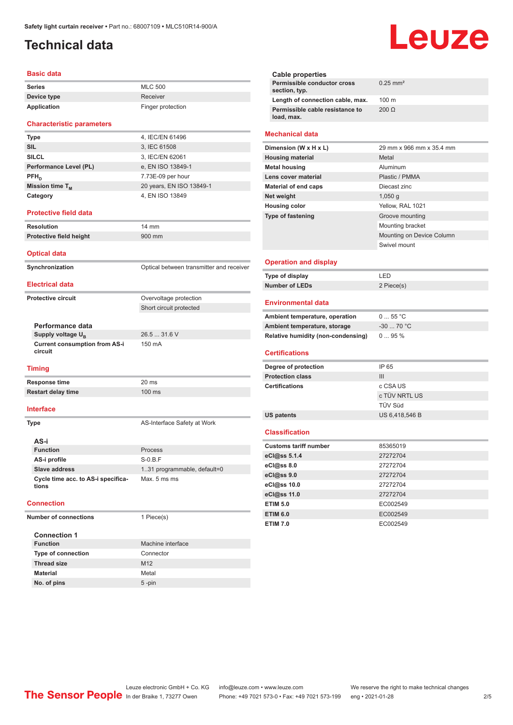## <span id="page-1-0"></span>**Technical data**

#### **Basic data**

| Series      | <b>MLC 500</b>    |
|-------------|-------------------|
| Device type | Receiver          |
| Application | Finger protection |

#### **Characteristic parameters**

| <b>Type</b>            | 4, IEC/EN 61496          |
|------------------------|--------------------------|
| <b>SIL</b>             | 3, IEC 61508             |
| <b>SILCL</b>           | 3, IEC/EN 62061          |
| Performance Level (PL) | e, EN ISO 13849-1        |
| $PFH_{n}$              | 7.73E-09 per hour        |
| Mission time $T_{M}$   | 20 years, EN ISO 13849-1 |
| Category               | 4, EN ISO 13849          |

#### **Protective field data**

**Resolution** 14 mm **Protective field height** 900 mm

**Optical data**

**Synchronization Synchronization** Optical between transmitter and receiver **Electrical data Protective circuit COVER COVER COVER COVER COVER COVER COVER COVER COVER COVER COVER COVER COVER COVER COVER** 

Short circuit protected

**Performance data Supply voltage U<sub>B</sub>** 

26.5 ... 31.6 V **Current consumption from AS-i**  150 mA

#### **Timing**

**circuit**

**Response time** 20 ms **Restart delay time** 100 ms

### **Interface**

**Type AS-Interface Safety at Work** 

| AS-i                                        |                              |
|---------------------------------------------|------------------------------|
| <b>Function</b>                             | Process                      |
| AS-i profile                                | $S-0.B.F$                    |
| <b>Slave address</b>                        | 1.31 programmable, default=0 |
| Cycle time acc. to AS-i specifica-<br>tions | Max. 5 ms ms                 |

#### **Connection**

**Number of connections** 1 Piece(s)

| <b>Connection 1</b>       |                   |
|---------------------------|-------------------|
| <b>Function</b>           | Machine interface |
| <b>Type of connection</b> | Connector         |
| <b>Thread size</b>        | M <sub>12</sub>   |
| <b>Material</b>           | Metal             |
| No. of pins               | $5 - pin$         |

# Leuze

| Cable properties                              |                        |
|-----------------------------------------------|------------------------|
| Permissible conductor cross<br>section, typ.  | $0.25$ mm <sup>2</sup> |
| Length of connection cable, max.              | $100 \text{ m}$        |
| Permissible cable resistance to<br>load, max. | $200 \Omega$           |
|                                               |                        |

#### **Mechanical data**

| Dimension (W x H x L)    | 29 mm x 966 mm x 35.4 mm  |
|--------------------------|---------------------------|
| <b>Housing material</b>  | Metal                     |
| <b>Metal housing</b>     | Aluminum                  |
| Lens cover material      | Plastic / PMMA            |
| Material of end caps     | Diecast zinc              |
| Net weight               | $1,050$ q                 |
| <b>Housing color</b>     | Yellow, RAL 1021          |
| <b>Type of fastening</b> | Groove mounting           |
|                          | Mounting bracket          |
|                          | Mounting on Device Column |
|                          | Swivel mount              |
|                          |                           |

#### **Operation and display**

| Type of display       | I FD       |
|-----------------------|------------|
| <b>Number of LEDs</b> | 2 Piece(s) |

#### **Environmental data**

| Ambient temperature, operation     | $055$ °C   |
|------------------------------------|------------|
| Ambient temperature, storage       | $-3070 °C$ |
| Relative humidity (non-condensing) | $095\%$    |

#### **Certifications**

| Degree of protection    | IP 65          |
|-------------------------|----------------|
| <b>Protection class</b> | Ш              |
| <b>Certifications</b>   | c CSA US       |
|                         | c TÜV NRTL US  |
|                         | TÜV Süd        |
| US patents              | US 6,418,546 B |

#### **Classification**

| <b>Customs tariff number</b> | 85365019 |
|------------------------------|----------|
| eCl@ss 5.1.4                 | 27272704 |
| eCl@ss 8.0                   | 27272704 |
| eCl@ss 9.0                   | 27272704 |
| eCl@ss 10.0                  | 27272704 |
| eCl@ss 11.0                  | 27272704 |
| <b>ETIM 5.0</b>              | EC002549 |
| <b>ETIM 6.0</b>              | EC002549 |
| <b>ETIM 7.0</b>              | EC002549 |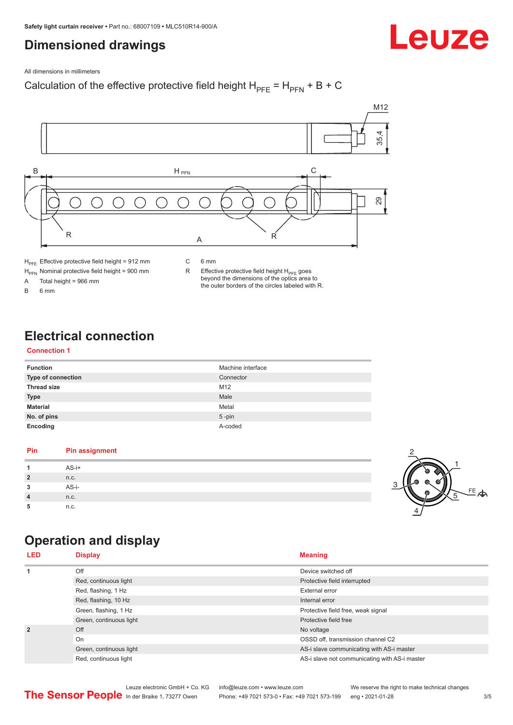## <span id="page-2-0"></span>**Dimensioned drawings**

#### All dimensions in millimeters

### Calculation of the effective protective field height  $H_{PFE} = H_{PFN} + B + C$



 $H_{\text{PFN}}$  Nominal protective field height = 900 mm<br>A Total height = 966 mm Total height =  $966$  mm

B 6 mm

R Effective protective field height  $H_{PFE}$  goes beyond the dimensions of the optics area to the outer borders of the circles labeled with R.

## **Electrical connection**

#### **Connection 1**

| <b>Function</b>           | Machine interface |
|---------------------------|-------------------|
| <b>Type of connection</b> | Connector         |
| <b>Thread size</b>        | M <sub>12</sub>   |
| <b>Type</b>               | Male              |
| <b>Material</b>           | Metal             |
| No. of pins               | $5$ -pin          |
| Encoding                  | A-coded           |

#### **Pin Pin assignment 1** AS-i+ **2** n.c. **3** AS-i-**4** n.c. **5** n.c.



Leuze

## **Operation and display**

| <b>LED</b>                                                               | <b>Display</b>          | <b>Meaning</b>                                |
|--------------------------------------------------------------------------|-------------------------|-----------------------------------------------|
| 1                                                                        | Off                     | Device switched off                           |
|                                                                          | Red, continuous light   | Protective field interrupted                  |
|                                                                          | Red, flashing, 1 Hz     | <b>External error</b>                         |
| Red, flashing, 10 Hz<br>Green, flashing, 1 Hz<br>Green, continuous light |                         | Internal error                                |
|                                                                          |                         | Protective field free, weak signal            |
|                                                                          |                         | Protective field free                         |
| $\overline{2}$                                                           | Off                     | No voltage                                    |
|                                                                          | On                      | OSSD off, transmission channel C2             |
|                                                                          | Green, continuous light | AS-i slave communicating with AS-i master     |
|                                                                          | Red, continuous light   | AS-i slave not communicating with AS-i master |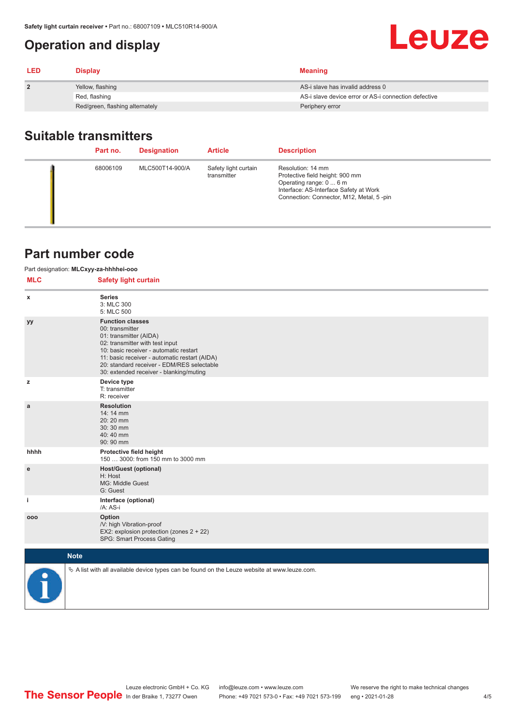## <span id="page-3-0"></span>**Operation and display**

| <b>LED</b>     | <b>Display</b>                  | <b>Meaning</b>                                       |
|----------------|---------------------------------|------------------------------------------------------|
| $\overline{2}$ | Yellow, flashing                | AS-i slave has invalid address 0                     |
|                | Red, flashing                   | AS-i slave device error or AS-i connection defective |
|                | Red/green, flashing alternately | Periphery error                                      |

## **Suitable transmitters**

| Part no. | <b>Designation</b> | <b>Article</b>                      | <b>Description</b>                                                                                                                                                    |
|----------|--------------------|-------------------------------------|-----------------------------------------------------------------------------------------------------------------------------------------------------------------------|
| 68006109 | MLC500T14-900/A    | Safety light curtain<br>transmitter | Resolution: 14 mm<br>Protective field height: 900 mm<br>Operating range: 0  6 m<br>Interface: AS-Interface Safety at Work<br>Connection: Connector, M12, Metal, 5-pin |

## **Part number code**

|            | Part designation: MLCxyy-za-hhhhei-ooo                                                                                                                                                                                                                                                      |
|------------|---------------------------------------------------------------------------------------------------------------------------------------------------------------------------------------------------------------------------------------------------------------------------------------------|
| <b>MLC</b> | <b>Safety light curtain</b>                                                                                                                                                                                                                                                                 |
| x          | <b>Series</b><br>3: MLC 300<br>5: MLC 500                                                                                                                                                                                                                                                   |
| yy         | <b>Function classes</b><br>00: transmitter<br>01: transmitter (AIDA)<br>02: transmitter with test input<br>10: basic receiver - automatic restart<br>11: basic receiver - automatic restart (AIDA)<br>20: standard receiver - EDM/RES selectable<br>30: extended receiver - blanking/muting |
| z          | Device type<br>T: transmitter<br>R: receiver                                                                                                                                                                                                                                                |
| a          | <b>Resolution</b><br>14: 14 mm<br>20:20 mm<br>30:30 mm<br>40:40 mm<br>90: 90 mm                                                                                                                                                                                                             |
| hhhh       | Protective field height<br>150  3000: from 150 mm to 3000 mm                                                                                                                                                                                                                                |
| e          | <b>Host/Guest (optional)</b><br>H: Host<br>MG: Middle Guest<br>G: Guest                                                                                                                                                                                                                     |
| j.         | Interface (optional)<br>/A: AS-i                                                                                                                                                                                                                                                            |
| 000        | Option<br>/V: high Vibration-proof<br>EX2: explosion protection (zones 2 + 22)<br>SPG: Smart Process Gating                                                                                                                                                                                 |
|            | <b>Note</b>                                                                                                                                                                                                                                                                                 |
|            | $\&$ A list with all available device types can be found on the Leuze website at www.leuze.com.                                                                                                                                                                                             |

Leuze